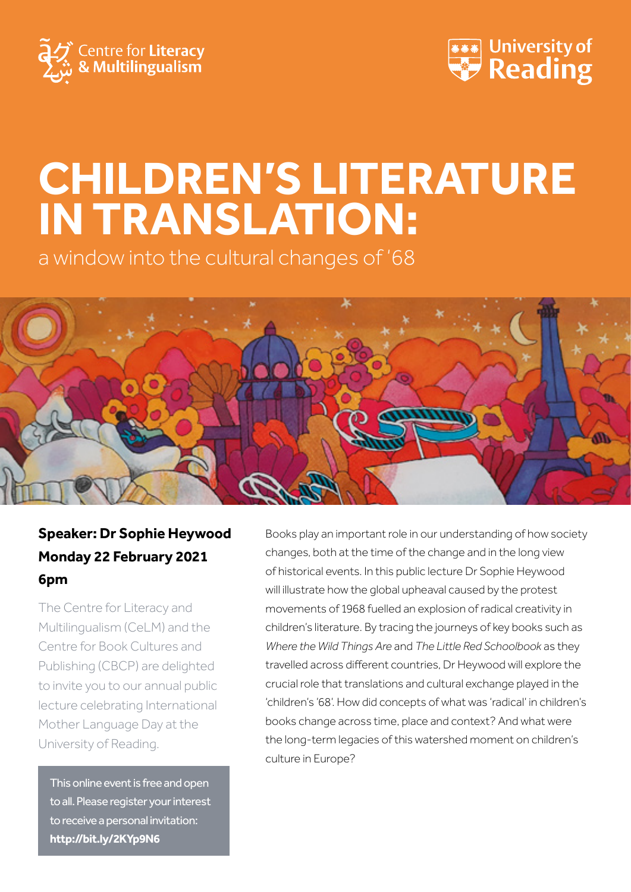



# **CHILDREN'S LITERATURE IN TRANSLATION:**

a window into the cultural changes of '68



## **Speaker: Dr Sophie Heywood Monday 22 February 2021 6pm**

The Centre for Literacy and Multilingualism (CeLM) and the Centre for Book Cultures and Publishing (CBCP) are delighted to invite you to our annual public lecture celebrating International Mother Language Day at the University of Reading.

This online event is free and open to all. Please register your interest to receive a personal invitation: **<http://bit.ly/2KYp9N6>**

Books play an important role in our understanding of how society changes, both at the time of the change and in the long view of historical events. In this public lecture Dr Sophie Heywood will illustrate how the global upheaval caused by the protest movements of 1968 fuelled an explosion of radical creativity in children's literature. By tracing the journeys of key books such as *Where the Wild Things Are* and *The Little Red Schoolbook* as they travelled across different countries, Dr Heywood will explore the crucial role that translations and cultural exchange played in the 'children's '68'. How did concepts of what was 'radical' in children's books change across time, place and context? And what were the long-term legacies of this watershed moment on children's culture in Europe?